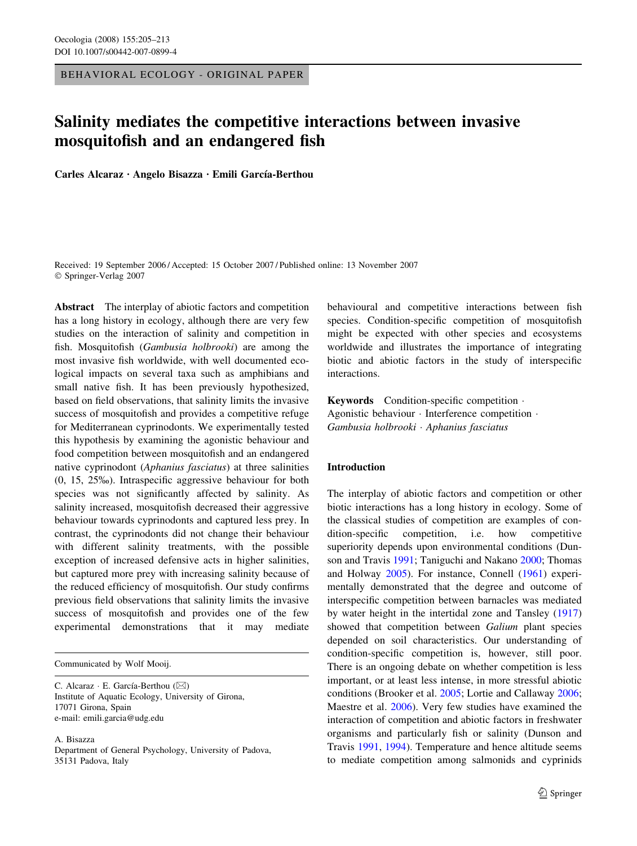BEHAVIORAL ECOLOGY - ORIGINAL PAPER

# Salinity mediates the competitive interactions between invasive mosquitofish and an endangered fish

Carles Alcaraz · Angelo Bisazza · Emili García-Berthou

Received: 19 September 2006 / Accepted: 15 October 2007 / Published online: 13 November 2007 Springer-Verlag 2007

Abstract The interplay of abiotic factors and competition has a long history in ecology, although there are very few studies on the interaction of salinity and competition in fish. Mosquitofish (Gambusia holbrooki) are among the most invasive fish worldwide, with well documented ecological impacts on several taxa such as amphibians and small native fish. It has been previously hypothesized, based on field observations, that salinity limits the invasive success of mosquitofish and provides a competitive refuge for Mediterranean cyprinodonts. We experimentally tested this hypothesis by examining the agonistic behaviour and food competition between mosquitofish and an endangered native cyprinodont (Aphanius fasciatus) at three salinities (0, 15, 25%). Intraspecific aggressive behaviour for both species was not significantly affected by salinity. As salinity increased, mosquitofish decreased their aggressive behaviour towards cyprinodonts and captured less prey. In contrast, the cyprinodonts did not change their behaviour with different salinity treatments, with the possible exception of increased defensive acts in higher salinities, but captured more prey with increasing salinity because of the reduced efficiency of mosquitofish. Our study confirms previous field observations that salinity limits the invasive success of mosquitofish and provides one of the few experimental demonstrations that it may mediate

Communicated by Wolf Mooij.

C. Alcaraz  $\cdot$  E. García-Berthou ( $\boxtimes$ ) Institute of Aquatic Ecology, University of Girona, 17071 Girona, Spain e-mail: emili.garcia@udg.edu

A. Bisazza

Department of General Psychology, University of Padova, 35131 Padova, Italy

behavioural and competitive interactions between fish species. Condition-specific competition of mosquitofish might be expected with other species and ecosystems worldwide and illustrates the importance of integrating biotic and abiotic factors in the study of interspecific interactions.

Keywords Condition-specific competition . Agonistic behaviour Interference competition  $\cdot$ Gambusia holbrooki · Aphanius fasciatus

# Introduction

The interplay of abiotic factors and competition or other biotic interactions has a long history in ecology. Some of the classical studies of competition are examples of condition-specific competition, i.e. how competitive superiority depends upon environmental conditions (Dunson and Travis [1991;](#page-7-0) Taniguchi and Nakano [2000;](#page-8-0) Thomas and Holway [2005\)](#page-8-0). For instance, Connell [\(1961](#page-7-0)) experimentally demonstrated that the degree and outcome of interspecific competition between barnacles was mediated by water height in the intertidal zone and Tansley ([1917\)](#page-8-0) showed that competition between Galium plant species depended on soil characteristics. Our understanding of condition-specific competition is, however, still poor. There is an ongoing debate on whether competition is less important, or at least less intense, in more stressful abiotic conditions (Brooker et al. [2005](#page-7-0); Lortie and Callaway [2006](#page-8-0); Maestre et al. [2006](#page-8-0)). Very few studies have examined the interaction of competition and abiotic factors in freshwater organisms and particularly fish or salinity (Dunson and Travis [1991,](#page-7-0) [1994](#page-7-0)). Temperature and hence altitude seems to mediate competition among salmonids and cyprinids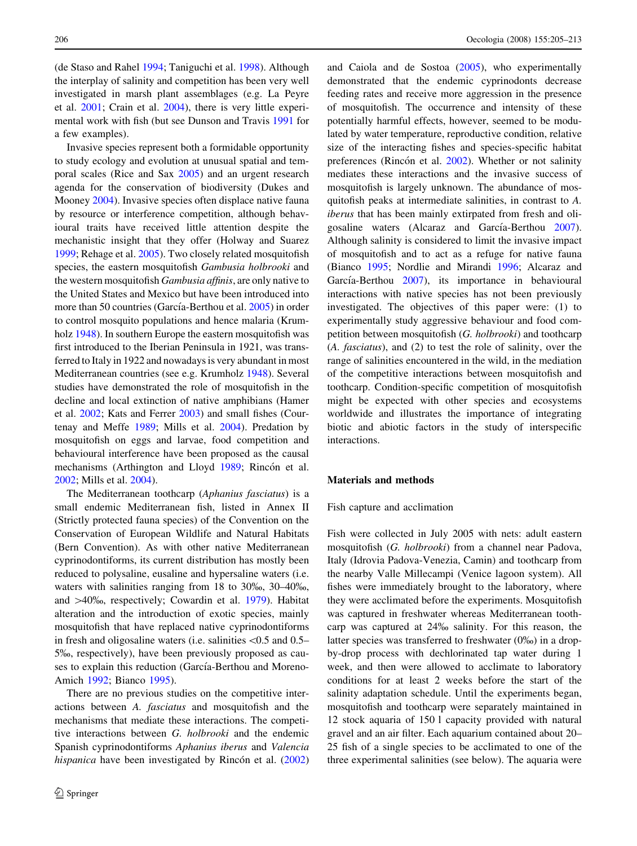(de Staso and Rahel [1994;](#page-7-0) Taniguchi et al. [1998](#page-8-0)). Although the interplay of salinity and competition has been very well investigated in marsh plant assemblages (e.g. La Peyre et al. [2001;](#page-7-0) Crain et al. [2004\)](#page-7-0), there is very little experimental work with fish (but see Dunson and Travis [1991](#page-7-0) for a few examples).

Invasive species represent both a formidable opportunity to study ecology and evolution at unusual spatial and temporal scales (Rice and Sax [2005\)](#page-8-0) and an urgent research agenda for the conservation of biodiversity (Dukes and Mooney [2004\)](#page-7-0). Invasive species often displace native fauna by resource or interference competition, although behavioural traits have received little attention despite the mechanistic insight that they offer (Holway and Suarez [1999;](#page-7-0) Rehage et al. [2005](#page-8-0)). Two closely related mosquitofish species, the eastern mosquitofish Gambusia holbrooki and the western mosquitofish *Gambusia affinis*, are only native to the United States and Mexico but have been introduced into more than 50 countries (García-Berthou et al. [2005\)](#page-7-0) in order to control mosquito populations and hence malaria (Krumholz [1948](#page-7-0)). In southern Europe the eastern mosquitofish was first introduced to the Iberian Peninsula in 1921, was transferred to Italy in 1922 and nowadays is very abundant in most Mediterranean countries (see e.g. Krumholz [1948\)](#page-7-0). Several studies have demonstrated the role of mosquitofish in the decline and local extinction of native amphibians (Hamer et al. [2002;](#page-7-0) Kats and Ferrer [2003](#page-7-0)) and small fishes (Courtenay and Meffe [1989;](#page-7-0) Mills et al. [2004\)](#page-8-0). Predation by mosquitofish on eggs and larvae, food competition and behavioural interference have been proposed as the causal mechanisms (Arthington and Lloyd [1989;](#page-7-0) Rincón et al. [2002;](#page-8-0) Mills et al. [2004\)](#page-8-0).

The Mediterranean toothcarp (Aphanius fasciatus) is a small endemic Mediterranean fish, listed in Annex II (Strictly protected fauna species) of the Convention on the Conservation of European Wildlife and Natural Habitats (Bern Convention). As with other native Mediterranean cyprinodontiforms, its current distribution has mostly been reduced to polysaline, eusaline and hypersaline waters (i.e. waters with salinities ranging from 18 to 30%, 30–40%, and  $>40\%$ , respectively; Cowardin et al. [1979](#page-7-0)). Habitat alteration and the introduction of exotic species, mainly mosquitofish that have replaced native cyprinodontiforms in fresh and oligosaline waters (i.e. salinities  $\leq 0.5$  and 0.5– 5%, respectively), have been previously proposed as causes to explain this reduction (García-Berthou and Moreno-Amich [1992;](#page-7-0) Bianco [1995](#page-7-0)).

There are no previous studies on the competitive interactions between A. fasciatus and mosquitofish and the mechanisms that mediate these interactions. The competitive interactions between G. holbrooki and the endemic Spanish cyprinodontiforms Aphanius iberus and Valencia hispanica have been investigated by Rincón et al.  $(2002)$  $(2002)$ 

and Caiola and de Sostoa ([2005\)](#page-7-0), who experimentally demonstrated that the endemic cyprinodonts decrease feeding rates and receive more aggression in the presence of mosquitofish. The occurrence and intensity of these potentially harmful effects, however, seemed to be modulated by water temperature, reproductive condition, relative size of the interacting fishes and species-specific habitat preferences (Rincón et al.  $2002$ ). Whether or not salinity mediates these interactions and the invasive success of mosquitofish is largely unknown. The abundance of mosquitofish peaks at intermediate salinities, in contrast to A. iberus that has been mainly extirpated from fresh and oli-gosaline waters (Alcaraz and García-Berthou [2007](#page-7-0)). Although salinity is considered to limit the invasive impact of mosquitofish and to act as a refuge for native fauna (Bianco [1995](#page-7-0); Nordlie and Mirandi [1996;](#page-8-0) Alcaraz and García-Berthou [2007](#page-7-0)), its importance in behavioural interactions with native species has not been previously investigated. The objectives of this paper were: (1) to experimentally study aggressive behaviour and food competition between mosquitofish (G. holbrooki) and toothcarp (A. fasciatus), and (2) to test the role of salinity, over the range of salinities encountered in the wild, in the mediation of the competitive interactions between mosquitofish and toothcarp. Condition-specific competition of mosquitofish might be expected with other species and ecosystems worldwide and illustrates the importance of integrating biotic and abiotic factors in the study of interspecific interactions.

# Materials and methods

# Fish capture and acclimation

Fish were collected in July 2005 with nets: adult eastern mosquitofish (G. holbrooki) from a channel near Padova, Italy (Idrovia Padova-Venezia, Camin) and toothcarp from the nearby Valle Millecampi (Venice lagoon system). All fishes were immediately brought to the laboratory, where they were acclimated before the experiments. Mosquitofish was captured in freshwater whereas Mediterranean toothcarp was captured at 24% salinity. For this reason, the latter species was transferred to freshwater  $(0\%)$  in a dropby-drop process with dechlorinated tap water during 1 week, and then were allowed to acclimate to laboratory conditions for at least 2 weeks before the start of the salinity adaptation schedule. Until the experiments began, mosquitofish and toothcarp were separately maintained in 12 stock aquaria of 150 l capacity provided with natural gravel and an air filter. Each aquarium contained about 20– 25 fish of a single species to be acclimated to one of the three experimental salinities (see below). The aquaria were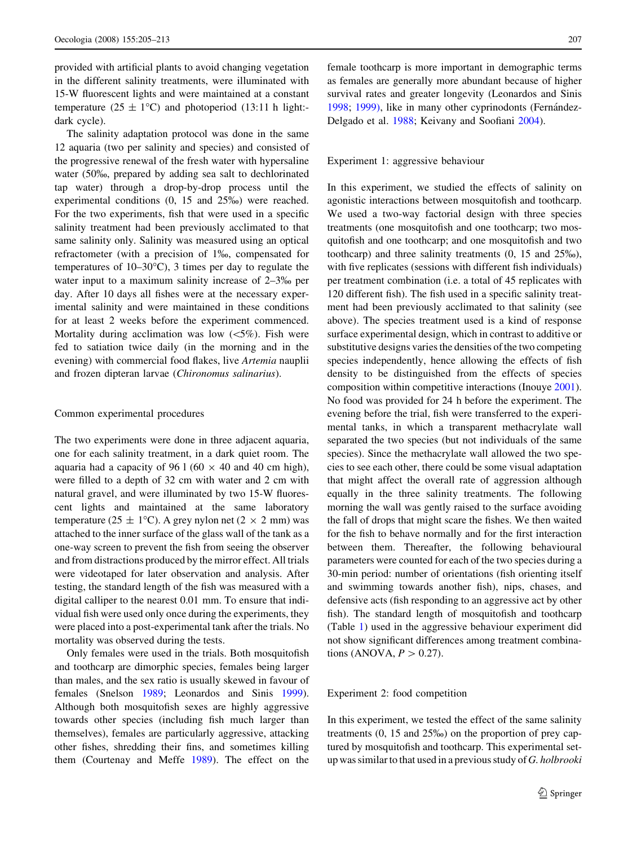provided with artificial plants to avoid changing vegetation in the different salinity treatments, were illuminated with 15-W fluorescent lights and were maintained at a constant temperature ( $25 \pm 1$ °C) and photoperiod (13:11 h light:dark cycle).

The salinity adaptation protocol was done in the same 12 aquaria (two per salinity and species) and consisted of the progressive renewal of the fresh water with hypersaline water (50%, prepared by adding sea salt to dechlorinated tap water) through a drop-by-drop process until the experimental conditions  $(0, 15 \text{ and } 25\%)$  were reached. For the two experiments, fish that were used in a specific salinity treatment had been previously acclimated to that same salinity only. Salinity was measured using an optical refractometer (with a precision of 1‰, compensated for temperatures of  $10-30^{\circ}$ C), 3 times per day to regulate the water input to a maximum salinity increase of 2–3% per day. After 10 days all fishes were at the necessary experimental salinity and were maintained in these conditions for at least 2 weeks before the experiment commenced. Mortality during acclimation was low  $(<5\%)$ . Fish were fed to satiation twice daily (in the morning and in the evening) with commercial food flakes, live Artemia nauplii and frozen dipteran larvae (Chironomus salinarius).

### Common experimental procedures

The two experiments were done in three adjacent aquaria, one for each salinity treatment, in a dark quiet room. The aquaria had a capacity of 96 1 (60  $\times$  40 and 40 cm high), were filled to a depth of 32 cm with water and 2 cm with natural gravel, and were illuminated by two 15-W fluorescent lights and maintained at the same laboratory temperature (25  $\pm$  1°C). A grey nylon net (2  $\times$  2 mm) was attached to the inner surface of the glass wall of the tank as a one-way screen to prevent the fish from seeing the observer and from distractions produced by the mirror effect. All trials were videotaped for later observation and analysis. After testing, the standard length of the fish was measured with a digital calliper to the nearest 0.01 mm. To ensure that individual fish were used only once during the experiments, they were placed into a post-experimental tank after the trials. No mortality was observed during the tests.

Only females were used in the trials. Both mosquitofish and toothcarp are dimorphic species, females being larger than males, and the sex ratio is usually skewed in favour of females (Snelson [1989;](#page-8-0) Leonardos and Sinis [1999](#page-8-0)). Although both mosquitofish sexes are highly aggressive towards other species (including fish much larger than themselves), females are particularly aggressive, attacking other fishes, shredding their fins, and sometimes killing them (Courtenay and Meffe [1989\)](#page-7-0). The effect on the female toothcarp is more important in demographic terms as females are generally more abundant because of higher survival rates and greater longevity (Leonardos and Sinis [1998](#page-7-0); [1999\),](#page-8-0) like in many other cyprinodonts (Fernández-Delgado et al. [1988](#page-7-0); Keivany and Soofiani [2004\)](#page-7-0).

#### Experiment 1: aggressive behaviour

In this experiment, we studied the effects of salinity on agonistic interactions between mosquitofish and toothcarp. We used a two-way factorial design with three species treatments (one mosquitofish and one toothcarp; two mosquitofish and one toothcarp; and one mosquitofish and two toothcarp) and three salinity treatments (0, 15 and 25%), with five replicates (sessions with different fish individuals) per treatment combination (i.e. a total of 45 replicates with 120 different fish). The fish used in a specific salinity treatment had been previously acclimated to that salinity (see above). The species treatment used is a kind of response surface experimental design, which in contrast to additive or substitutive designs varies the densities of the two competing species independently, hence allowing the effects of fish density to be distinguished from the effects of species composition within competitive interactions (Inouye [2001](#page-7-0)). No food was provided for 24 h before the experiment. The evening before the trial, fish were transferred to the experimental tanks, in which a transparent methacrylate wall separated the two species (but not individuals of the same species). Since the methacrylate wall allowed the two species to see each other, there could be some visual adaptation that might affect the overall rate of aggression although equally in the three salinity treatments. The following morning the wall was gently raised to the surface avoiding the fall of drops that might scare the fishes. We then waited for the fish to behave normally and for the first interaction between them. Thereafter, the following behavioural parameters were counted for each of the two species during a 30-min period: number of orientations (fish orienting itself and swimming towards another fish), nips, chases, and defensive acts (fish responding to an aggressive act by other fish). The standard length of mosquitofish and toothcarp (Table [1\)](#page-3-0) used in the aggressive behaviour experiment did not show significant differences among treatment combinations (ANOVA,  $P > 0.27$ ).

# Experiment 2: food competition

In this experiment, we tested the effect of the same salinity treatments (0, 15 and 25%) on the proportion of prey captured by mosquitofish and toothcarp. This experimental setup was similar to that used in a previous study of G. holbrooki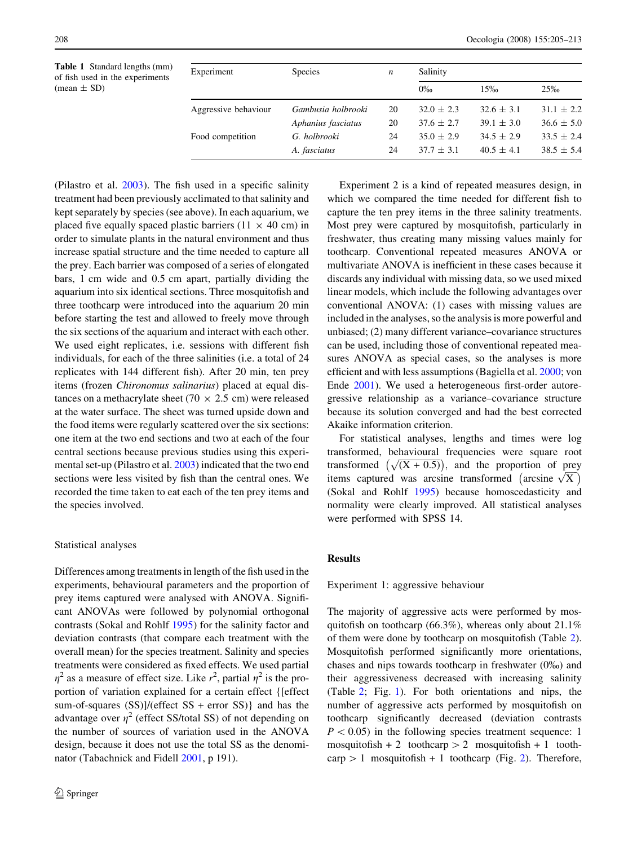<span id="page-3-0"></span>Table 1 Standard lengths (mm) of fish used in the experiments  $(mean \pm SD)$ 

| Experiment           | <b>Species</b>     | n  | Salinity       |                |                |  |  |
|----------------------|--------------------|----|----------------|----------------|----------------|--|--|
|                      |                    |    | $0\%$          | 15%            | 25%            |  |  |
| Aggressive behaviour | Gambusia holbrooki | 20 | $32.0 \pm 2.3$ | $32.6 \pm 3.1$ | $31.1 \pm 2.2$ |  |  |
|                      | Aphanius fasciatus | 20 | $37.6 \pm 2.7$ | $39.1 \pm 3.0$ | $36.6 \pm 5.0$ |  |  |
| Food competition     | G. holbrooki       | 24 | $35.0 \pm 2.9$ | $34.5 \pm 2.9$ | $33.5 \pm 2.4$ |  |  |
|                      | A. fasciatus       | 24 | $37.7 \pm 3.1$ | $40.5 \pm 4.1$ | $38.5 \pm 5.4$ |  |  |

(Pilastro et al. [2003](#page-8-0)). The fish used in a specific salinity treatment had been previously acclimated to that salinity and kept separately by species (see above). In each aquarium, we placed five equally spaced plastic barriers (11  $\times$  40 cm) in order to simulate plants in the natural environment and thus increase spatial structure and the time needed to capture all the prey. Each barrier was composed of a series of elongated bars, 1 cm wide and 0.5 cm apart, partially dividing the aquarium into six identical sections. Three mosquitofish and three toothcarp were introduced into the aquarium 20 min before starting the test and allowed to freely move through the six sections of the aquarium and interact with each other. We used eight replicates, i.e. sessions with different fish individuals, for each of the three salinities (i.e. a total of 24 replicates with 144 different fish). After 20 min, ten prey items (frozen Chironomus salinarius) placed at equal distances on a methacrylate sheet (70  $\times$  2.5 cm) were released at the water surface. The sheet was turned upside down and the food items were regularly scattered over the six sections: one item at the two end sections and two at each of the four central sections because previous studies using this experimental set-up (Pilastro et al. [2003\)](#page-8-0) indicated that the two end sections were less visited by fish than the central ones. We recorded the time taken to eat each of the ten prey items and the species involved.

## Statistical analyses

Differences among treatments in length of the fish used in the experiments, behavioural parameters and the proportion of prey items captured were analysed with ANOVA. Significant ANOVAs were followed by polynomial orthogonal contrasts (Sokal and Rohlf [1995\)](#page-8-0) for the salinity factor and deviation contrasts (that compare each treatment with the overall mean) for the species treatment. Salinity and species treatments were considered as fixed effects. We used partial  $\eta^2$  as a measure of effect size. Like  $r^2$ , partial  $\eta^2$  is the proportion of variation explained for a certain effect {[effect sum-of-squares (SS)]/(effect SS + error SS)} and has the advantage over  $\eta^2$  (effect SS/total SS) of not depending on the number of sources of variation used in the ANOVA design, because it does not use the total SS as the denominator (Tabachnick and Fidell [2001,](#page-8-0) p 191).

Experiment 2 is a kind of repeated measures design, in which we compared the time needed for different fish to capture the ten prey items in the three salinity treatments. Most prey were captured by mosquitofish, particularly in freshwater, thus creating many missing values mainly for toothcarp. Conventional repeated measures ANOVA or multivariate ANOVA is inefficient in these cases because it discards any individual with missing data, so we used mixed linear models, which include the following advantages over conventional ANOVA: (1) cases with missing values are included in the analyses, so the analysis is more powerful and unbiased; (2) many different variance–covariance structures can be used, including those of conventional repeated measures ANOVA as special cases, so the analyses is more efficient and with less assumptions (Bagiella et al. [2000;](#page-7-0) von Ende [2001\)](#page-8-0). We used a heterogeneous first-order autoregressive relationship as a variance–covariance structure because its solution converged and had the best corrected Akaike information criterion.

For statistical analyses, lengths and times were log transformed, behavioural frequencies were square root transformed  $(\sqrt{(X + 0.5)})$ , and the proportion of prey<br>tinne centured wes excited transformed (excited  $(\nabla)$ ) items captured was arcsine transformed (arcsine  $\sqrt{X}$ (Sokal and Rohlf [1995](#page-8-0)) because homoscedasticity and normality were clearly improved. All statistical analyses were performed with SPSS 14.

# **Results**

Experiment 1: aggressive behaviour

The majority of aggressive acts were performed by mosquitofish on toothcarp  $(66.3\%)$ , whereas only about 21.1% of them were done by toothcarp on mosquitofish (Table [2](#page-4-0)). Mosquitofish performed significantly more orientations, chases and nips towards toothcarp in freshwater (0%) and their aggressiveness decreased with increasing salinity (Table [2;](#page-4-0) Fig. [1](#page-5-0)). For both orientations and nips, the number of aggressive acts performed by mosquitofish on toothcarp significantly decreased (deviation contrasts  $P < 0.05$ ) in the following species treatment sequence: 1 mosquitofish + 2 toothcarp  $> 2$  mosquitofish + 1 toothcarp  $> 1$  mosquitofish + 1 toothcarp (Fig. [2](#page-5-0)). Therefore,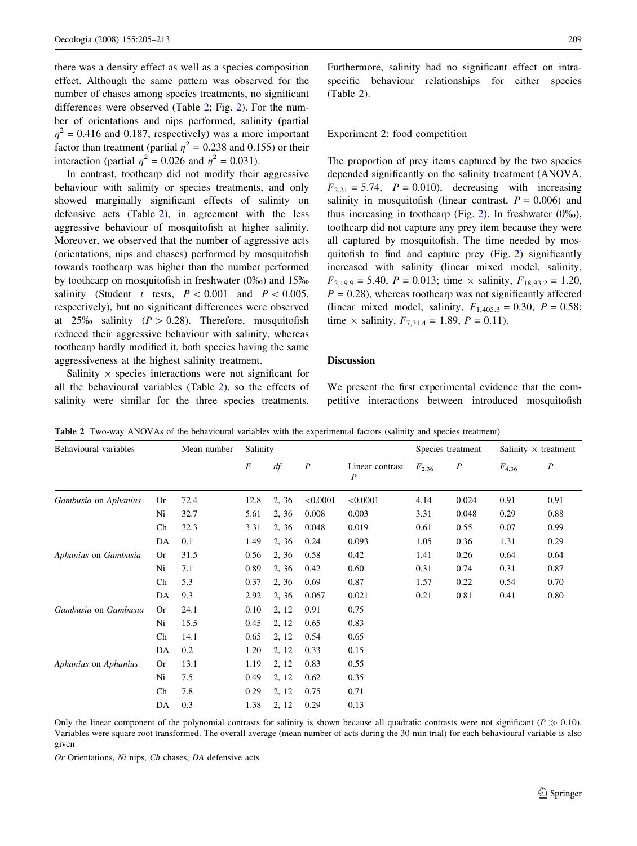<span id="page-4-0"></span>there was a density effect as well as a species composition effect. Although the same pattern was observed for the number of chases among species treatments, no significant differences were observed (Table 2; Fig. [2\)](#page-5-0). For the number of orientations and nips performed, salinity (partial  $\eta^2$  = 0.416 and 0.187, respectively) was a more important factor than treatment (partial  $\eta^2 = 0.238$  and 0.155) or their interaction (partial  $\eta^2 = 0.026$  and  $\eta^2 = 0.031$ ).

In contrast, toothcarp did not modify their aggressive behaviour with salinity or species treatments, and only showed marginally significant effects of salinity on defensive acts (Table 2), in agreement with the less aggressive behaviour of mosquitofish at higher salinity. Moreover, we observed that the number of aggressive acts (orientations, nips and chases) performed by mosquitofish towards toothcarp was higher than the number performed by toothcarp on mosquitofish in freshwater  $(0\%)$  and  $15\%$ salinity (Student t tests,  $P \lt 0.001$  and  $P \lt 0.005$ , respectively), but no significant differences were observed at 25% salinity  $(P > 0.28)$ . Therefore, mosquitofish reduced their aggressive behaviour with salinity, whereas toothcarp hardly modified it, both species having the same aggressiveness at the highest salinity treatment.

Salinity  $\times$  species interactions were not significant for all the behavioural variables (Table 2), so the effects of salinity were similar for the three species treatments.

Furthermore, salinity had no significant effect on intraspecific behaviour relationships for either species (Table 2).

### Experiment 2: food competition

The proportion of prey items captured by the two species depended significantly on the salinity treatment (ANOVA,  $F_{2,21} = 5.74$ ,  $P = 0.010$ , decreasing with increasing salinity in mosquitofish (linear contrast,  $P = 0.006$ ) and thus increasing in toothcarp (Fig. [2](#page-5-0)). In freshwater  $(0\%)$ , toothcarp did not capture any prey item because they were all captured by mosquitofish. The time needed by mosquitofish to find and capture prey (Fig. [2](#page-5-0)) significantly increased with salinity (linear mixed model, salinity,  $F_{2,19.9} = 5.40$ ,  $P = 0.013$ ; time  $\times$  salinity,  $F_{18,93.2} = 1.20$ ,  $P = 0.28$ ), whereas toothcarp was not significantly affected (linear mixed model, salinity,  $F_{1,405.3} = 0.30$ ,  $P = 0.58$ ; time  $\times$  salinity,  $F_{7,31,4} = 1.89, P = 0.11$ .

## Discussion

We present the first experimental evidence that the competitive interactions between introduced mosquitofish

| Behavioural variables |           | Mean number | Salinity         |       |                  | Species treatment                   |            | Salinity $\times$ treatment |            |                  |
|-----------------------|-----------|-------------|------------------|-------|------------------|-------------------------------------|------------|-----------------------------|------------|------------------|
|                       |           |             | $\boldsymbol{F}$ | df    | $\boldsymbol{P}$ | Linear contrast<br>$\boldsymbol{P}$ | $F_{2,36}$ | $\boldsymbol{P}$            | $F_{4,36}$ | $\boldsymbol{P}$ |
| Gambusia on Aphanius  | <b>Or</b> | 72.4        | 12.8             | 2, 36 | < 0.0001         | < 0.0001                            | 4.14       | 0.024                       | 0.91       | 0.91             |
|                       | Ni        | 32.7        | 5.61             | 2, 36 | 0.008            | 0.003                               | 3.31       | 0.048                       | 0.29       | 0.88             |
|                       | Ch        | 32.3        | 3.31             | 2, 36 | 0.048            | 0.019                               | 0.61       | 0.55                        | 0.07       | 0.99             |
|                       | DA        | 0.1         | 1.49             | 2, 36 | 0.24             | 0.093                               | 1.05       | 0.36                        | 1.31       | 0.29             |
| Aphanius on Gambusia  | <b>Or</b> | 31.5        | 0.56             | 2, 36 | 0.58             | 0.42                                | 1.41       | 0.26                        | 0.64       | 0.64             |
|                       | Ni        | 7.1         | 0.89             | 2, 36 | 0.42             | 0.60                                | 0.31       | 0.74                        | 0.31       | 0.87             |
|                       | Ch        | 5.3         | 0.37             | 2, 36 | 0.69             | 0.87                                | 1.57       | 0.22                        | 0.54       | 0.70             |
|                       | DA        | 9.3         | 2.92             | 2, 36 | 0.067            | 0.021                               | 0.21       | 0.81                        | 0.41       | 0.80             |
| Gambusia on Gambusia  | <b>Or</b> | 24.1        | 0.10             | 2, 12 | 0.91             | 0.75                                |            |                             |            |                  |
|                       | Ni        | 15.5        | 0.45             | 2, 12 | 0.65             | 0.83                                |            |                             |            |                  |
|                       | Ch        | 14.1        | 0.65             | 2, 12 | 0.54             | 0.65                                |            |                             |            |                  |
|                       | DA        | 0.2         | 1.20             | 2, 12 | 0.33             | 0.15                                |            |                             |            |                  |
| Aphanius on Aphanius  | <b>Or</b> | 13.1        | 1.19             | 2, 12 | 0.83             | 0.55                                |            |                             |            |                  |
|                       | Ni        | 7.5         | 0.49             | 2, 12 | 0.62             | 0.35                                |            |                             |            |                  |
|                       | Ch        | 7.8         | 0.29             | 2, 12 | 0.75             | 0.71                                |            |                             |            |                  |
|                       | DA        | 0.3         | 1.38             | 2, 12 | 0.29             | 0.13                                |            |                             |            |                  |

Table 2 Two-way ANOVAs of the behavioural variables with the experimental factors (salinity and species treatment)

Only the linear component of the polynomial contrasts for salinity is shown because all quadratic contrasts were not significant ( $P \gg 0.10$ ). Variables were square root transformed. The overall average (mean number of acts during the 30-min trial) for each behavioural variable is also given

Or Orientations, Ni nips, Ch chases, DA defensive acts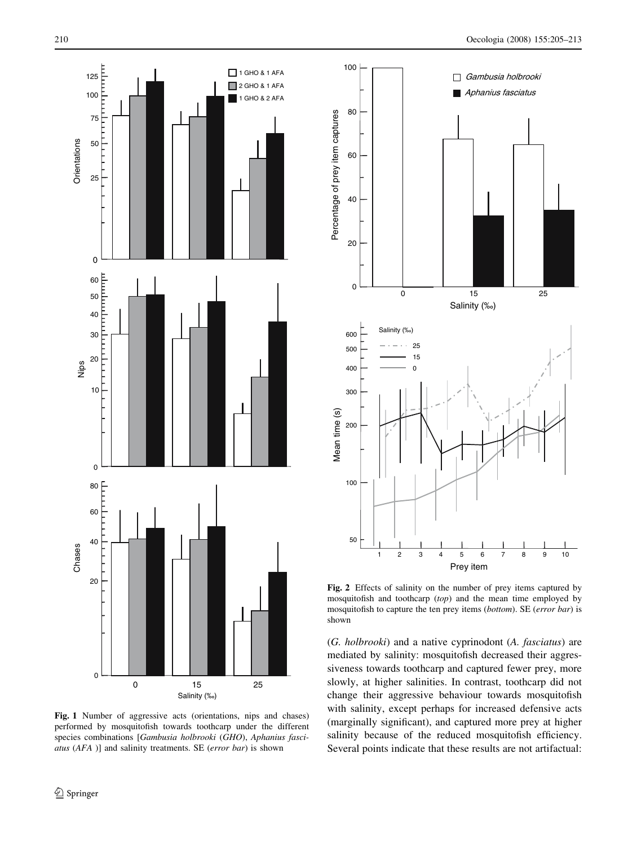<span id="page-5-0"></span>

Fig. 1 Number of aggressive acts (orientations, nips and chases) performed by mosquitofish towards toothcarp under the different species combinations [Gambusia holbrooki (GHO), Aphanius fasciatus (AFA )] and salinity treatments. SE (error bar) is shown



Fig. 2 Effects of salinity on the number of prey items captured by mosquitofish and toothcarp (top) and the mean time employed by mosquitofish to capture the ten prey items (bottom). SE (error bar) is shown

(G. holbrooki) and a native cyprinodont (A. fasciatus) are mediated by salinity: mosquitofish decreased their aggressiveness towards toothcarp and captured fewer prey, more slowly, at higher salinities. In contrast, toothcarp did not change their aggressive behaviour towards mosquitofish with salinity, except perhaps for increased defensive acts (marginally significant), and captured more prey at higher salinity because of the reduced mosquitofish efficiency. Several points indicate that these results are not artifactual: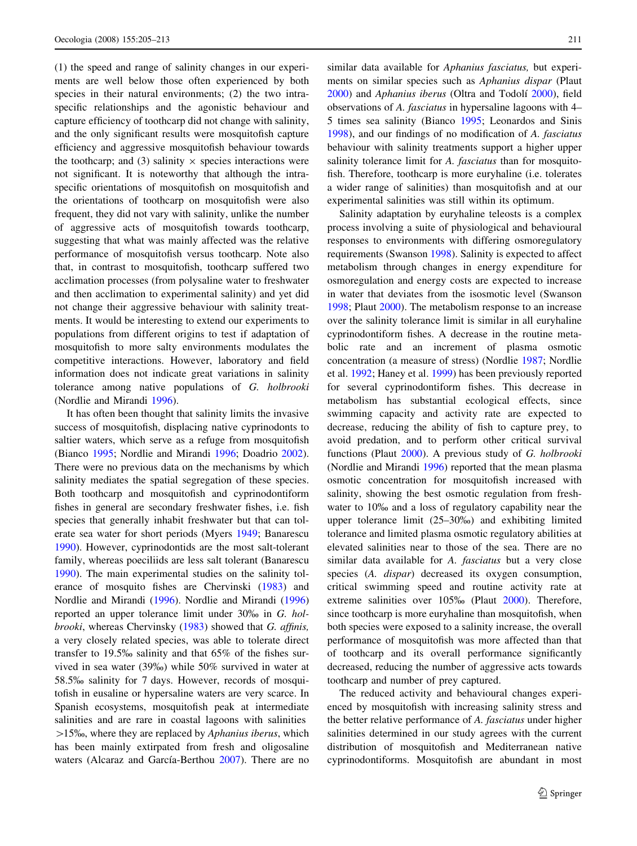(1) the speed and range of salinity changes in our experiments are well below those often experienced by both species in their natural environments; (2) the two intraspecific relationships and the agonistic behaviour and capture efficiency of toothcarp did not change with salinity, and the only significant results were mosquitofish capture efficiency and aggressive mosquitofish behaviour towards the toothcarp; and (3) salinity  $\times$  species interactions were not significant. It is noteworthy that although the intraspecific orientations of mosquitofish on mosquitofish and the orientations of toothcarp on mosquitofish were also frequent, they did not vary with salinity, unlike the number of aggressive acts of mosquitofish towards toothcarp, suggesting that what was mainly affected was the relative performance of mosquitofish versus toothcarp. Note also that, in contrast to mosquitofish, toothcarp suffered two acclimation processes (from polysaline water to freshwater and then acclimation to experimental salinity) and yet did not change their aggressive behaviour with salinity treatments. It would be interesting to extend our experiments to populations from different origins to test if adaptation of mosquitofish to more salty environments modulates the competitive interactions. However, laboratory and field information does not indicate great variations in salinity tolerance among native populations of G. holbrooki (Nordlie and Mirandi [1996\)](#page-8-0).

It has often been thought that salinity limits the invasive success of mosquitofish, displacing native cyprinodonts to saltier waters, which serve as a refuge from mosquitofish (Bianco [1995](#page-7-0); Nordlie and Mirandi [1996;](#page-8-0) Doadrio [2002](#page-7-0)). There were no previous data on the mechanisms by which salinity mediates the spatial segregation of these species. Both toothcarp and mosquitofish and cyprinodontiform fishes in general are secondary freshwater fishes, i.e. fish species that generally inhabit freshwater but that can tolerate sea water for short periods (Myers [1949](#page-8-0); Banarescu [1990\)](#page-7-0). However, cyprinodontids are the most salt-tolerant family, whereas poeciliids are less salt tolerant (Banarescu [1990\)](#page-7-0). The main experimental studies on the salinity tolerance of mosquito fishes are Chervinski ([1983\)](#page-7-0) and Nordlie and Mirandi ([1996\)](#page-8-0). Nordlie and Mirandi ([1996\)](#page-8-0) reported an upper tolerance limit under 30% in G. holbrooki, whereas Chervinsky [\(1983](#page-7-0)) showed that G. affinis, a very closely related species, was able to tolerate direct transfer to 19.5% salinity and that 65% of the fishes survived in sea water (39%) while 50% survived in water at 58.5% salinity for 7 days. However, records of mosquitofish in eusaline or hypersaline waters are very scarce. In Spanish ecosystems, mosquitofish peak at intermediate salinities and are rare in coastal lagoons with salinities  $>15\%$ , where they are replaced by Aphanius iberus, which has been mainly extirpated from fresh and oligosaline waters (Alcaraz and García-Berthou [2007](#page-7-0)). There are no

similar data available for *Aphanius fasciatus*, but experiments on similar species such as Aphanius dispar (Plaut [2000](#page-8-0)) and Aphanius iberus (Oltra and Todolí 2000), field observations of A. fasciatus in hypersaline lagoons with 4– 5 times sea salinity (Bianco [1995;](#page-7-0) Leonardos and Sinis [1998](#page-7-0)), and our findings of no modification of A. fasciatus behaviour with salinity treatments support a higher upper salinity tolerance limit for A. *fasciatus* than for mosquitofish. Therefore, toothcarp is more euryhaline (i.e. tolerates a wider range of salinities) than mosquitofish and at our experimental salinities was still within its optimum.

Salinity adaptation by euryhaline teleosts is a complex process involving a suite of physiological and behavioural responses to environments with differing osmoregulatory requirements (Swanson [1998](#page-8-0)). Salinity is expected to affect metabolism through changes in energy expenditure for osmoregulation and energy costs are expected to increase in water that deviates from the isosmotic level (Swanson [1998](#page-8-0); Plaut [2000\)](#page-8-0). The metabolism response to an increase over the salinity tolerance limit is similar in all euryhaline cyprinodontiform fishes. A decrease in the routine metabolic rate and an increment of plasma osmotic concentration (a measure of stress) (Nordlie [1987;](#page-8-0) Nordlie et al. [1992;](#page-8-0) Haney et al. [1999](#page-7-0)) has been previously reported for several cyprinodontiform fishes. This decrease in metabolism has substantial ecological effects, since swimming capacity and activity rate are expected to decrease, reducing the ability of fish to capture prey, to avoid predation, and to perform other critical survival functions (Plaut [2000](#page-8-0)). A previous study of G. holbrooki (Nordlie and Mirandi [1996](#page-8-0)) reported that the mean plasma osmotic concentration for mosquitofish increased with salinity, showing the best osmotic regulation from freshwater to 10% and a loss of regulatory capability near the upper tolerance limit (25–30%) and exhibiting limited tolerance and limited plasma osmotic regulatory abilities at elevated salinities near to those of the sea. There are no similar data available for A. fasciatus but a very close species (A. *dispar*) decreased its oxygen consumption, critical swimming speed and routine activity rate at extreme salinities over 105% (Plaut [2000](#page-8-0)). Therefore, since toothcarp is more euryhaline than mosquitofish, when both species were exposed to a salinity increase, the overall performance of mosquitofish was more affected than that of toothcarp and its overall performance significantly decreased, reducing the number of aggressive acts towards toothcarp and number of prey captured.

The reduced activity and behavioural changes experienced by mosquitofish with increasing salinity stress and the better relative performance of A. fasciatus under higher salinities determined in our study agrees with the current distribution of mosquitofish and Mediterranean native cyprinodontiforms. Mosquitofish are abundant in most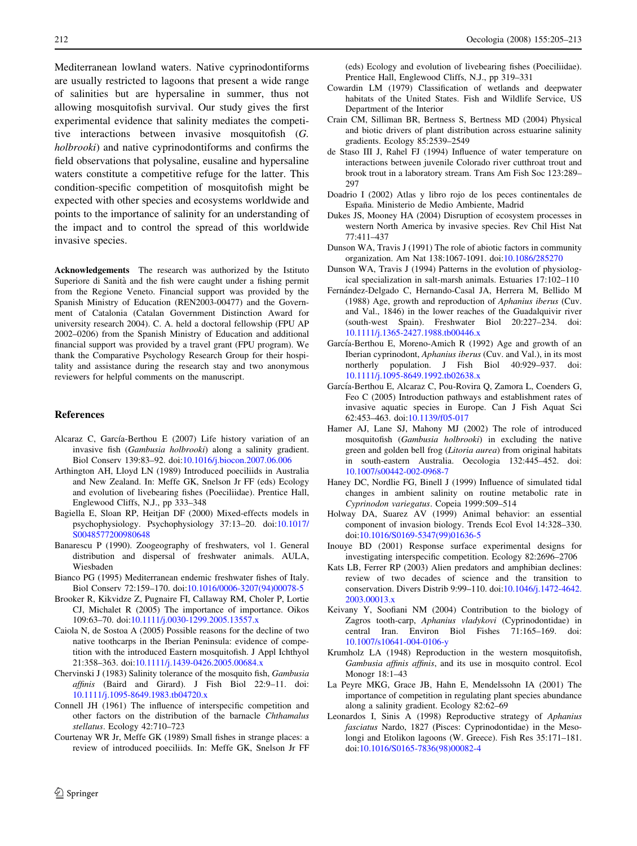<span id="page-7-0"></span>Mediterranean lowland waters. Native cyprinodontiforms are usually restricted to lagoons that present a wide range of salinities but are hypersaline in summer, thus not allowing mosquitofish survival. Our study gives the first experimental evidence that salinity mediates the competitive interactions between invasive mosquitofish (G. holbrooki) and native cyprinodontiforms and confirms the field observations that polysaline, eusaline and hypersaline waters constitute a competitive refuge for the latter. This condition-specific competition of mosquitofish might be expected with other species and ecosystems worldwide and points to the importance of salinity for an understanding of the impact and to control the spread of this worldwide invasive species.

Acknowledgements The research was authorized by the Istituto Superiore di Sanità and the fish were caught under a fishing permit from the Regione Veneto. Financial support was provided by the Spanish Ministry of Education (REN2003-00477) and the Government of Catalonia (Catalan Government Distinction Award for university research 2004). C. A. held a doctoral fellowship (FPU AP 2002–0206) from the Spanish Ministry of Education and additional financial support was provided by a travel grant (FPU program). We thank the Comparative Psychology Research Group for their hospitality and assistance during the research stay and two anonymous reviewers for helpful comments on the manuscript.

## References

- Alcaraz C, García-Berthou E (2007) Life history variation of an invasive fish (Gambusia holbrooki) along a salinity gradient. Biol Conserv 139:83–92. doi[:10.1016/j.biocon.2007.06.006](http://dx.doi.org/10.1016/j.biocon.2007.06.006)
- Arthington AH, Lloyd LN (1989) Introduced poeciliids in Australia and New Zealand. In: Meffe GK, Snelson Jr FF (eds) Ecology and evolution of livebearing fishes (Poeciliidae). Prentice Hall, Englewood Cliffs, N.J., pp 333–348
- Bagiella E, Sloan RP, Heitjan DF (2000) Mixed-effects models in psychophysiology. Psychophysiology 37:13–20. doi[:10.1017/](http://dx.doi.org/10.1017/S0048577200980648) [S0048577200980648](http://dx.doi.org/10.1017/S0048577200980648)
- Banarescu P (1990). Zoogeography of freshwaters, vol 1. General distribution and dispersal of freshwater animals. AULA, Wiesbaden
- Bianco PG (1995) Mediterranean endemic freshwater fishes of Italy. Biol Conserv 72:159–170. doi[:10.1016/0006-3207\(94\)00078-5](http://dx.doi.org/10.1016/0006-3207(94)00078-5)
- Brooker R, Kikvidze Z, Pugnaire FI, Callaway RM, Choler P, Lortie CJ, Michalet R (2005) The importance of importance. Oikos 109:63–70. doi[:10.1111/j.0030-1299.2005.13557.x](http://dx.doi.org/10.1111/j.0030-1299.2005.13557.x)
- Caiola N, de Sostoa A (2005) Possible reasons for the decline of two native toothcarps in the Iberian Peninsula: evidence of competition with the introduced Eastern mosquitofish. J Appl Ichthyol 21:358–363. doi:[10.1111/j.1439-0426.2005.00684.x](http://dx.doi.org/10.1111/j.1439-0426.2005.00684.x)
- Chervinski J (1983) Salinity tolerance of the mosquito fish, Gambusia affinis (Baird and Girard). J Fish Biol 22:9–11. doi: [10.1111/j.1095-8649.1983.tb04720.x](http://dx.doi.org/10.1111/j.1095-8649.1983.tb04720.x)
- Connell JH (1961) The influence of interspecific competition and other factors on the distribution of the barnacle Chthamalus stellatus. Ecology 42:710–723
- Courtenay WR Jr, Meffe GK (1989) Small fishes in strange places: a review of introduced poeciliids. In: Meffe GK, Snelson Jr FF

(eds) Ecology and evolution of livebearing fishes (Poeciliidae). Prentice Hall, Englewood Cliffs, N.J., pp 319–331

- Cowardin LM (1979) Classification of wetlands and deepwater habitats of the United States. Fish and Wildlife Service, US Department of the Interior
- Crain CM, Silliman BR, Bertness S, Bertness MD (2004) Physical and biotic drivers of plant distribution across estuarine salinity gradients. Ecology 85:2539–2549
- de Staso III J, Rahel FJ (1994) Influence of water temperature on interactions between juvenile Colorado river cutthroat trout and brook trout in a laboratory stream. Trans Am Fish Soc 123:289– 297
- Doadrio I (2002) Atlas y libro rojo de los peces continentales de España. Ministerio de Medio Ambiente, Madrid
- Dukes JS, Mooney HA (2004) Disruption of ecosystem processes in western North America by invasive species. Rev Chil Hist Nat 77:411–437
- Dunson WA, Travis J (1991) The role of abiotic factors in community organization. Am Nat 138:1067-1091. doi[:10.1086/285270](http://dx.doi.org/10.1086/285270)
- Dunson WA, Travis J (1994) Patterns in the evolution of physiological specialization in salt-marsh animals. Estuaries 17:102–110
- Fernández-Delgado C, Hernando-Casal JA, Herrera M, Bellido M (1988) Age, growth and reproduction of Aphanius iberus (Cuv. and Val., 1846) in the lower reaches of the Guadalquivir river (south-west Spain). Freshwater Biol 20:227–234. doi: [10.1111/j.1365-2427.1988.tb00446.x](http://dx.doi.org/10.1111/j.1365-2427.1988.tb00446.x)
- García-Berthou E, Moreno-Amich R (1992) Age and growth of an Iberian cyprinodont, Aphanius iberus (Cuv. and Val.), in its most northerly population. J Fish Biol 40:929–937. doi: [10.1111/j.1095-8649.1992.tb02638.x](http://dx.doi.org/10.1111/j.1095-8649.1992.tb02638.x)
- García-Berthou E, Alcaraz C, Pou-Rovira Q, Zamora L, Coenders G, Feo C (2005) Introduction pathways and establishment rates of invasive aquatic species in Europe. Can J Fish Aquat Sci 62:453–463. doi:[10.1139/f05-017](http://dx.doi.org/10.1139/f05-017)
- Hamer AJ, Lane SJ, Mahony MJ (2002) The role of introduced mosquitofish (Gambusia holbrooki) in excluding the native green and golden bell frog (Litoria aurea) from original habitats in south-eastern Australia. Oecologia 132:445–452. doi: [10.1007/s00442-002-0968-7](http://dx.doi.org/10.1007/s00442-002-0968-7)
- Haney DC, Nordlie FG, Binell J (1999) Influence of simulated tidal changes in ambient salinity on routine metabolic rate in Cyprinodon variegatus. Copeia 1999:509–514
- Holway DA, Suarez AV (1999) Animal behavior: an essential component of invasion biology. Trends Ecol Evol 14:328–330. doi[:10.1016/S0169-5347\(99\)01636-5](http://dx.doi.org/10.1016/S0169-5347(99)01636-5)
- Inouye BD (2001) Response surface experimental designs for investigating interspecific competition. Ecology 82:2696–2706
- Kats LB, Ferrer RP (2003) Alien predators and amphibian declines: review of two decades of science and the transition to conservation. Divers Distrib 9:99–110. doi[:10.1046/j.1472-4642.](http://dx.doi.org/10.1046/j.1472-4642.2003.00013.x) [2003.00013.x](http://dx.doi.org/10.1046/j.1472-4642.2003.00013.x)
- Keivany Y, Soofiani NM (2004) Contribution to the biology of Zagros tooth-carp, Aphanius vladykovi (Cyprinodontidae) in central Iran. Environ Biol Fishes 71:165–169. doi: [10.1007/s10641-004-0106-y](http://dx.doi.org/10.1007/s10641-004-0106-y)
- Krumholz LA (1948) Reproduction in the western mosquitofish, Gambusia affinis affinis, and its use in mosquito control. Ecol Monogr 18:1–43
- La Peyre MKG, Grace JB, Hahn E, Mendelssohn IA (2001) The importance of competition in regulating plant species abundance along a salinity gradient. Ecology 82:62–69
- Leonardos I, Sinis A (1998) Reproductive strategy of Aphanius fasciatus Nardo, 1827 (Pisces: Cyprinodontidae) in the Mesolongi and Etolikon lagoons (W. Greece). Fish Res 35:171–181. doi[:10.1016/S0165-7836\(98\)00082-4](http://dx.doi.org/10.1016/S0165-7836(98)00082-4)